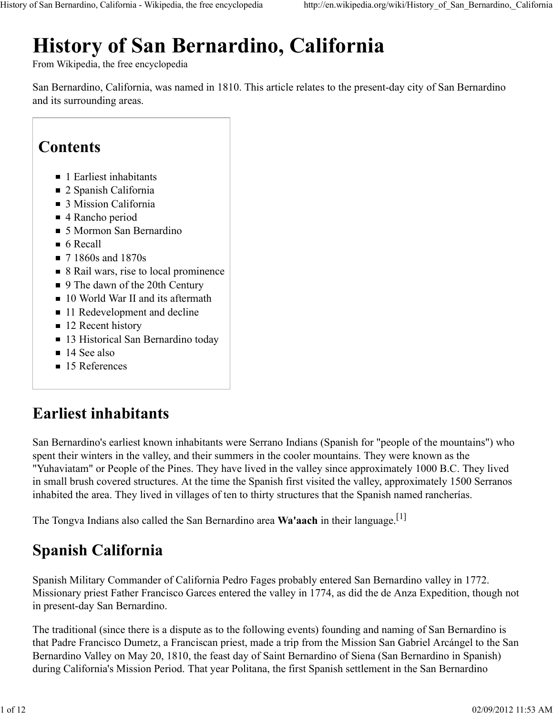# **History of San Bernardino, California**

From Wikipedia, the free encyclopedia

San Bernardino, California, was named in 1810. This article relates to the present-day city of San Bernardino and its surrounding areas.

## **Contents**

- 1 Earliest inhabitants
- 2 Spanish California
- 3 Mission California
- 4 Rancho period
- 5 Mormon San Bernardino
- $\blacksquare$  6 Recall
- **7** 1860s and 1870s
- 8 Rail wars, rise to local prominence
- 9 The dawn of the 20th Century
- 10 World War II and its aftermath
- 11 Redevelopment and decline
- 12 Recent history
- 13 Historical San Bernardino today
- 14 See also
- 15 References

## **Earliest inhabitants**

San Bernardino's earliest known inhabitants were Serrano Indians (Spanish for "people of the mountains") who spent their winters in the valley, and their summers in the cooler mountains. They were known as the "Yuhaviatam" or People of the Pines. They have lived in the valley since approximately 1000 B.C. They lived in small brush covered structures. At the time the Spanish first visited the valley, approximately 1500 Serranos inhabited the area. They lived in villages of ten to thirty structures that the Spanish named rancherías.

The Tongva Indians also called the San Bernardino area **Wa'aach** in their language.[1]

# **Spanish California**

Spanish Military Commander of California Pedro Fages probably entered San Bernardino valley in 1772. Missionary priest Father Francisco Garces entered the valley in 1774, as did the de Anza Expedition, though not in present-day San Bernardino.

The traditional (since there is a dispute as to the following events) founding and naming of San Bernardino is that Padre Francisco Dumetz, a Franciscan priest, made a trip from the Mission San Gabriel Arcángel to the San Bernardino Valley on May 20, 1810, the feast day of Saint Bernardino of Siena (San Bernardino in Spanish) during California's Mission Period. That year Politana, the first Spanish settlement in the San Bernardino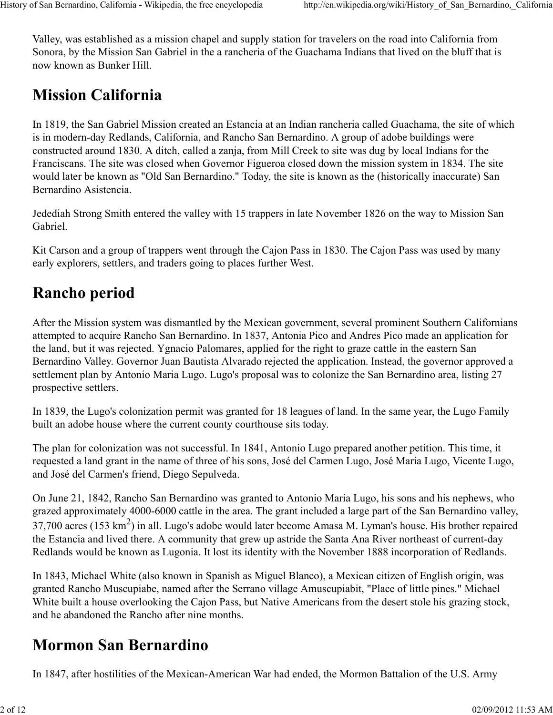Valley, was established as a mission chapel and supply station for travelers on the road into California from Sonora, by the Mission San Gabriel in the a rancheria of the Guachama Indians that lived on the bluff that is now known as Bunker Hill.

# **Mission California**

In 1819, the San Gabriel Mission created an Estancia at an Indian rancheria called Guachama, the site of which is in modern-day Redlands, California, and Rancho San Bernardino. A group of adobe buildings were constructed around 1830. A ditch, called a zanja, from Mill Creek to site was dug by local Indians for the Franciscans. The site was closed when Governor Figueroa closed down the mission system in 1834. The site would later be known as "Old San Bernardino." Today, the site is known as the (historically inaccurate) San Bernardino Asistencia.

Jedediah Strong Smith entered the valley with 15 trappers in late November 1826 on the way to Mission San Gabriel.

Kit Carson and a group of trappers went through the Cajon Pass in 1830. The Cajon Pass was used by many early explorers, settlers, and traders going to places further West.

# **Rancho period**

After the Mission system was dismantled by the Mexican government, several prominent Southern Californians attempted to acquire Rancho San Bernardino. In 1837, Antonia Pico and Andres Pico made an application for the land, but it was rejected. Ygnacio Palomares, applied for the right to graze cattle in the eastern San Bernardino Valley. Governor Juan Bautista Alvarado rejected the application. Instead, the governor approved a settlement plan by Antonio Maria Lugo. Lugo's proposal was to colonize the San Bernardino area, listing 27 prospective settlers.

In 1839, the Lugo's colonization permit was granted for 18 leagues of land. In the same year, the Lugo Family built an adobe house where the current county courthouse sits today.

The plan for colonization was not successful. In 1841, Antonio Lugo prepared another petition. This time, it requested a land grant in the name of three of his sons, José del Carmen Lugo, José Maria Lugo, Vicente Lugo, and José del Carmen's friend, Diego Sepulveda.

On June 21, 1842, Rancho San Bernardino was granted to Antonio Maria Lugo, his sons and his nephews, who grazed approximately 4000-6000 cattle in the area. The grant included a large part of the San Bernardino valley, 37,700 acres (153 km<sup>2</sup>) in all. Lugo's adobe would later become Amasa M. Lyman's house. His brother repaired the Estancia and lived there. A community that grew up astride the Santa Ana River northeast of current-day Redlands would be known as Lugonia. It lost its identity with the November 1888 incorporation of Redlands.

In 1843, Michael White (also known in Spanish as Miguel Blanco), a Mexican citizen of English origin, was granted Rancho Muscupiabe, named after the Serrano village Amuscupiabit, "Place of little pines." Michael White built a house overlooking the Cajon Pass, but Native Americans from the desert stole his grazing stock, and he abandoned the Rancho after nine months.

## **Mormon San Bernardino**

In 1847, after hostilities of the Mexican-American War had ended, the Mormon Battalion of the U.S. Army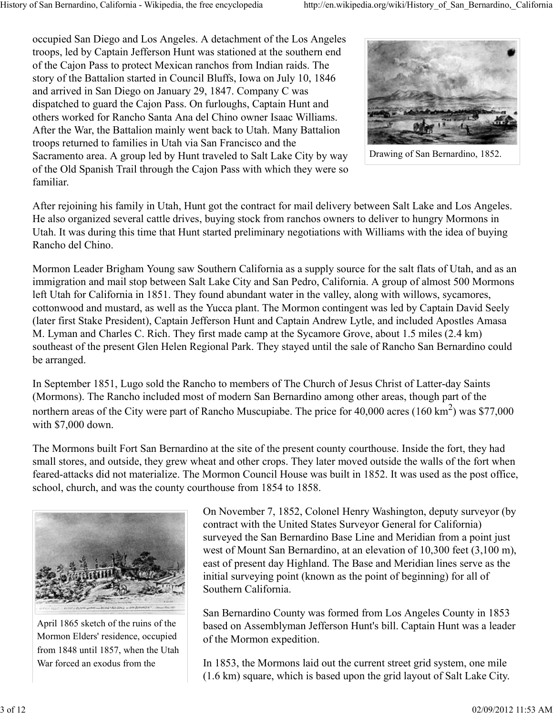occupied San Diego and Los Angeles. A detachment of the Los Angeles troops, led by Captain Jefferson Hunt was stationed at the southern end of the Cajon Pass to protect Mexican ranchos from Indian raids. The story of the Battalion started in Council Bluffs, Iowa on July 10, 1846 and arrived in San Diego on January 29, 1847. Company C was dispatched to guard the Cajon Pass. On furloughs, Captain Hunt and others worked for Rancho Santa Ana del Chino owner Isaac Williams. After the War, the Battalion mainly went back to Utah. Many Battalion troops returned to families in Utah via San Francisco and the Sacramento area. A group led by Hunt traveled to Salt Lake City by way of the Old Spanish Trail through the Cajon Pass with which they were so familiar.



Drawing of San Bernardino, 1852.

After rejoining his family in Utah, Hunt got the contract for mail delivery between Salt Lake and Los Angeles. He also organized several cattle drives, buying stock from ranchos owners to deliver to hungry Mormons in Utah. It was during this time that Hunt started preliminary negotiations with Williams with the idea of buying Rancho del Chino.

Mormon Leader Brigham Young saw Southern California as a supply source for the salt flats of Utah, and as an immigration and mail stop between Salt Lake City and San Pedro, California. A group of almost 500 Mormons left Utah for California in 1851. They found abundant water in the valley, along with willows, sycamores, cottonwood and mustard, as well as the Yucca plant. The Mormon contingent was led by Captain David Seely (later first Stake President), Captain Jefferson Hunt and Captain Andrew Lytle, and included Apostles Amasa M. Lyman and Charles C. Rich. They first made camp at the Sycamore Grove, about 1.5 miles (2.4 km) southeast of the present Glen Helen Regional Park. They stayed until the sale of Rancho San Bernardino could be arranged.

In September 1851, Lugo sold the Rancho to members of The Church of Jesus Christ of Latter-day Saints (Mormons). The Rancho included most of modern San Bernardino among other areas, though part of the northern areas of the City were part of Rancho Muscupiabe. The price for  $40,000$  acres  $(160 \text{ km}^2)$  was \$77,000 with \$7,000 down.

The Mormons built Fort San Bernardino at the site of the present county courthouse. Inside the fort, they had small stores, and outside, they grew wheat and other crops. They later moved outside the walls of the fort when feared-attacks did not materialize. The Mormon Council House was built in 1852. It was used as the post office, school, church, and was the county courthouse from 1854 to 1858.



April 1865 sketch of the ruins of the Mormon Elders' residence, occupied from 1848 until 1857, when the Utah War forced an exodus from the

On November 7, 1852, Colonel Henry Washington, deputy surveyor (by contract with the United States Surveyor General for California) surveyed the San Bernardino Base Line and Meridian from a point just west of Mount San Bernardino, at an elevation of 10,300 feet (3,100 m), east of present day Highland. The Base and Meridian lines serve as the initial surveying point (known as the point of beginning) for all of Southern California.

San Bernardino County was formed from Los Angeles County in 1853 based on Assemblyman Jefferson Hunt's bill. Captain Hunt was a leader of the Mormon expedition.

In 1853, the Mormons laid out the current street grid system, one mile (1.6 km) square, which is based upon the grid layout of Salt Lake City.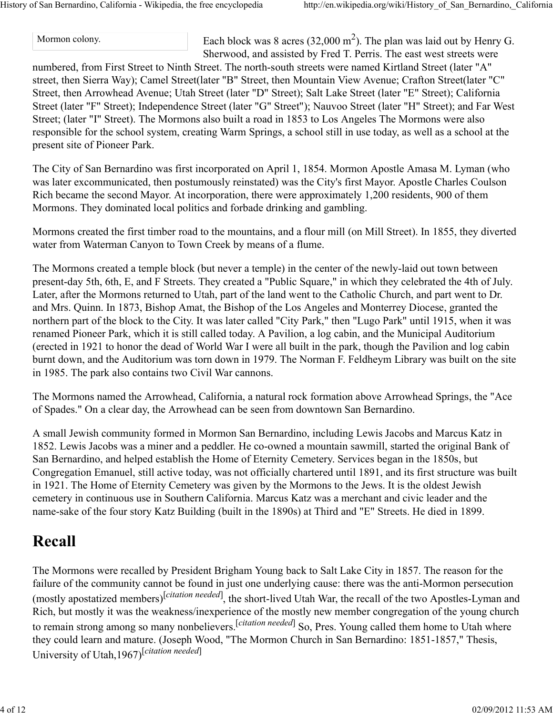Mormon colony. Each block was 8 acres  $(32,000 \text{ m}^2)$ . The plan was laid out by Henry G. Sherwood, and assisted by Fred T. Perris. The east west streets were

numbered, from First Street to Ninth Street. The north-south streets were named Kirtland Street (later "A" street, then Sierra Way); Camel Street(later "B" Street, then Mountain View Avenue; Crafton Street(later "C" Street, then Arrowhead Avenue; Utah Street (later "D" Street); Salt Lake Street (later "E" Street); California Street (later "F" Street); Independence Street (later "G" Street"); Nauvoo Street (later "H" Street); and Far West Street; (later "I" Street). The Mormons also built a road in 1853 to Los Angeles The Mormons were also responsible for the school system, creating Warm Springs, a school still in use today, as well as a school at the present site of Pioneer Park.

The City of San Bernardino was first incorporated on April 1, 1854. Mormon Apostle Amasa M. Lyman (who was later excommunicated, then postumously reinstated) was the City's first Mayor. Apostle Charles Coulson Rich became the second Mayor. At incorporation, there were approximately 1,200 residents, 900 of them Mormons. They dominated local politics and forbade drinking and gambling.

Mormons created the first timber road to the mountains, and a flour mill (on Mill Street). In 1855, they diverted water from Waterman Canyon to Town Creek by means of a flume.

The Mormons created a temple block (but never a temple) in the center of the newly-laid out town between present-day 5th, 6th, E, and F Streets. They created a "Public Square," in which they celebrated the 4th of July. Later, after the Mormons returned to Utah, part of the land went to the Catholic Church, and part went to Dr. and Mrs. Quinn. In 1873, Bishop Amat, the Bishop of the Los Angeles and Monterrey Diocese, granted the northern part of the block to the City. It was later called "City Park," then "Lugo Park" until 1915, when it was renamed Pioneer Park, which it is still called today. A Pavilion, a log cabin, and the Municipal Auditorium (erected in 1921 to honor the dead of World War I were all built in the park, though the Pavilion and log cabin burnt down, and the Auditorium was torn down in 1979. The Norman F. Feldheym Library was built on the site in 1985. The park also contains two Civil War cannons.

The Mormons named the Arrowhead, California, a natural rock formation above Arrowhead Springs, the "Ace of Spades." On a clear day, the Arrowhead can be seen from downtown San Bernardino.

A small Jewish community formed in Mormon San Bernardino, including Lewis Jacobs and Marcus Katz in 1852. Lewis Jacobs was a miner and a peddler. He co-owned a mountain sawmill, started the original Bank of San Bernardino, and helped establish the Home of Eternity Cemetery. Services began in the 1850s, but Congregation Emanuel, still active today, was not officially chartered until 1891, and its first structure was built in 1921. The Home of Eternity Cemetery was given by the Mormons to the Jews. It is the oldest Jewish cemetery in continuous use in Southern California. Marcus Katz was a merchant and civic leader and the name-sake of the four story Katz Building (built in the 1890s) at Third and "E" Streets. He died in 1899.

#### **Recall**

The Mormons were recalled by President Brigham Young back to Salt Lake City in 1857. The reason for the failure of the community cannot be found in just one underlying cause: there was the anti-Mormon persecution (mostly apostatized members)<sup>[*citation needed*], the short-lived Utah War, the recall of the two Apostles-Lyman and</sup> Rich, but mostly it was the weakness/inexperience of the mostly new member congregation of the young church to remain strong among so many nonbelievers.[*citation needed*] So, Pres. Young called them home to Utah where they could learn and mature. (Joseph Wood, "The Mormon Church in San Bernardino: 1851-1857," Thesis, University of Utah,1967)[*citation needed*]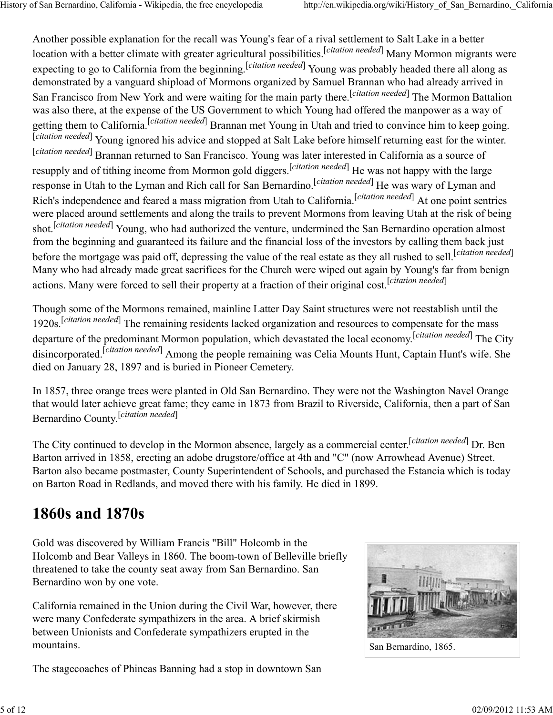Another possible explanation for the recall was Young's fear of a rival settlement to Salt Lake in a better location with a better climate with greater agricultural possibilities.<sup>[*citation needed*] Many Mormon migrants were</sup> expecting to go to California from the beginning. <sup>[citation needed]</sup> Young was probably headed there all along as demonstrated by a vanguard shipload of Mormons organized by Samuel Brannan who had already arrived in San Francisco from New York and were waiting for the main party there.<sup>[*citation needed*] The Mormon Battalion</sup> was also there, at the expense of the US Government to which Young had offered the manpower as a way of getting them to California.<sup>[*citation needed*] Brannan met Young in Utah and tried to convince him to keep going.</sup> [*citation needed*] Young ignored his advice and stopped at Salt Lake before himself returning east for the winter. [*citation needed*] Brannan returned to San Francisco. Young was later interested in California as a source of resupply and of tithing income from Mormon gold diggers.[*citation needed*] He was not happy with the large response in Utah to the Lyman and Rich call for San Bernardino.<sup>[*citation needed*] He was wary of Lyman and</sup> Rich's independence and feared a mass migration from Utah to California.[*citation needed*] At one point sentries were placed around settlements and along the trails to prevent Mormons from leaving Utah at the risk of being shot.<sup>[citation needed]</sup> Young, who had authorized the venture, undermined the San Bernardino operation almost from the beginning and guaranteed its failure and the financial loss of the investors by calling them back just before the mortgage was paid off, depressing the value of the real estate as they all rushed to sell.[*citation needed*] Many who had already made great sacrifices for the Church were wiped out again by Young's far from benign actions. Many were forced to sell their property at a fraction of their original cost. [*citation needed*]

Though some of the Mormons remained, mainline Latter Day Saint structures were not reestablish until the 1920s.<sup>[citation needed]</sup> The remaining residents lacked organization and resources to compensate for the mass departure of the predominant Mormon population, which devastated the local economy.[*citation needed*] The City disincorporated.[*citation needed*] Among the people remaining was Celia Mounts Hunt, Captain Hunt's wife. She died on January 28, 1897 and is buried in Pioneer Cemetery.

In 1857, three orange trees were planted in Old San Bernardino. They were not the Washington Navel Orange that would later achieve great fame; they came in 1873 from Brazil to Riverside, California, then a part of San Bernardino County. [*citation needed*]

The City continued to develop in the Mormon absence, largely as a commercial center.[*citation needed*] Dr. Ben Barton arrived in 1858, erecting an adobe drugstore/office at 4th and "C" (now Arrowhead Avenue) Street. Barton also became postmaster, County Superintendent of Schools, and purchased the Estancia which is today on Barton Road in Redlands, and moved there with his family. He died in 1899.

#### **1860s and 1870s**

Gold was discovered by William Francis "Bill" Holcomb in the Holcomb and Bear Valleys in 1860. The boom-town of Belleville briefly threatened to take the county seat away from San Bernardino. San Bernardino won by one vote.

California remained in the Union during the Civil War, however, there were many Confederate sympathizers in the area. A brief skirmish between Unionists and Confederate sympathizers erupted in the mountains.

The stagecoaches of Phineas Banning had a stop in downtown San



San Bernardino, 1865.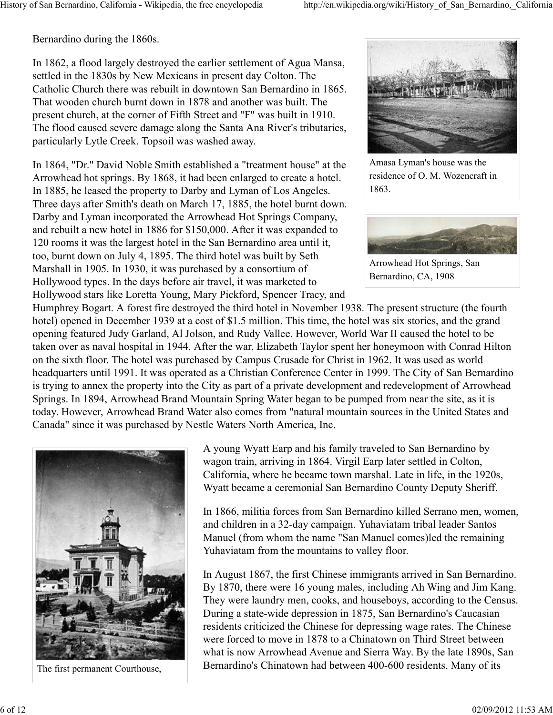Bernardino during the 1860s.

In 1862, a flood largely destroyed the earlier settlement of Agua Mansa, settled in the 1830s by New Mexicans in present day Colton. The Catholic Church there was rebuilt in downtown San Bernardino in 1865. That wooden church burnt down in 1878 and another was built. The present church, at the corner of Fifth Street and "F" was built in 1910. The flood caused severe damage along the Santa Ana River's tributaries, particularly Lytle Creek. Topsoil was washed away.

In 1864, "Dr." David Noble Smith established a "treatment house" at the Arrowhead hot springs. By 1868, it had been enlarged to create a hotel. In 1885, he leased the property to Darby and Lyman of Los Angeles. Three days after Smith's death on March 17, 1885, the hotel burnt down. Darby and Lyman incorporated the Arrowhead Hot Springs Company, and rebuilt a new hotel in 1886 for \$150,000. After it was expanded to 120 rooms it was the largest hotel in the San Bernardino area until it, too, burnt down on July 4, 1895. The third hotel was built by Seth Marshall in 1905. In 1930, it was purchased by a consortium of Hollywood types. In the days before air travel, it was marketed to Hollywood stars like Loretta Young, Mary Pickford, Spencer Tracy, and



Amasa Lyman's house was the residence of O. M. Wozencraft in 1863.



Arrowhead Hot Springs, San Bernardino, CA, 1908

Humphrey Bogart. A forest fire destroyed the third hotel in November 1938. The present structure (the fourth hotel) opened in December 1939 at a cost of \$1.5 million. This time, the hotel was six stories, and the grand opening featured Judy Garland, Al Jolson, and Rudy Vallee. However, World War II caused the hotel to be taken over as naval hospital in 1944. After the war, Elizabeth Taylor spent her honeymoon with Conrad Hilton on the sixth floor. The hotel was purchased by Campus Crusade for Christ in 1962. It was used as world headquarters until 1991. It was operated as a Christian Conference Center in 1999. The City of San Bernardino is trying to annex the property into the City as part of a private development and redevelopment of Arrowhead Springs. In 1894, Arrowhead Brand Mountain Spring Water began to be pumped from near the site, as it is today. However, Arrowhead Brand Water also comes from "natural mountain sources in the United States and Canada" since it was purchased by Nestle Waters North America, Inc.



The first permanent Courthouse,

A young Wyatt Earp and his family traveled to San Bernardino by wagon train, arriving in 1864. Virgil Earp later settled in Colton, California, where he became town marshal. Late in life, in the 1920s, Wyatt became a ceremonial San Bernardino County Deputy Sheriff.

In 1866, militia forces from San Bernardino killed Serrano men, women, and children in a 32-day campaign. Yuhaviatam tribal leader Santos Manuel (from whom the name "San Manuel comes)led the remaining Yuhaviatam from the mountains to valley floor.

In August 1867, the first Chinese immigrants arrived in San Bernardino. By 1870, there were 16 young males, including Ah Wing and Jim Kang. They were laundry men, cooks, and houseboys, according to the Census. During a state-wide depression in 1875, San Bernardino's Caucasian residents criticized the Chinese for depressing wage rates. The Chinese were forced to move in 1878 to a Chinatown on Third Street between what is now Arrowhead Avenue and Sierra Way. By the late 1890s, San Bernardino's Chinatown had between 400-600 residents. Many of its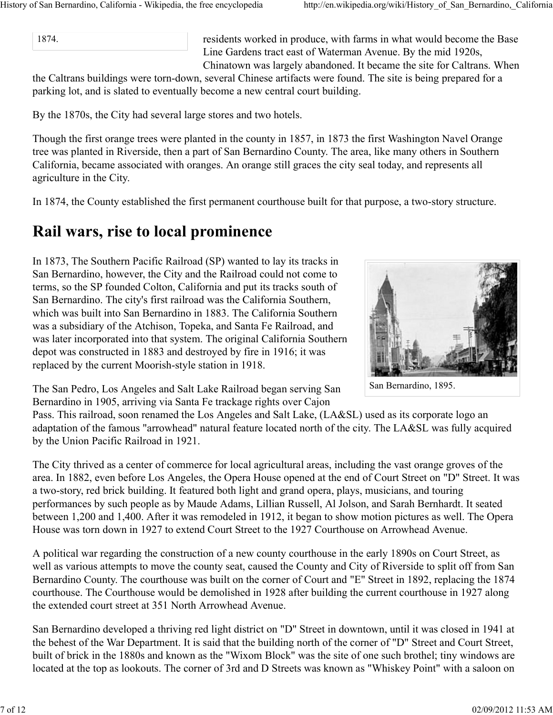1874.

residents worked in produce, with farms in what would become the Base Line Gardens tract east of Waterman Avenue. By the mid 1920s, Chinatown was largely abandoned. It became the site for Caltrans. When

the Caltrans buildings were torn-down, several Chinese artifacts were found. The site is being prepared for a parking lot, and is slated to eventually become a new central court building.

By the 1870s, the City had several large stores and two hotels.

Though the first orange trees were planted in the county in 1857, in 1873 the first Washington Navel Orange tree was planted in Riverside, then a part of San Bernardino County. The area, like many others in Southern California, became associated with oranges. An orange still graces the city seal today, and represents all agriculture in the City.

In 1874, the County established the first permanent courthouse built for that purpose, a two-story structure.

#### **Rail wars, rise to local prominence**

In 1873, The Southern Pacific Railroad (SP) wanted to lay its tracks in San Bernardino, however, the City and the Railroad could not come to terms, so the SP founded Colton, California and put its tracks south of San Bernardino. The city's first railroad was the California Southern, which was built into San Bernardino in 1883. The California Southern was a subsidiary of the Atchison, Topeka, and Santa Fe Railroad, and was later incorporated into that system. The original California Southern depot was constructed in 1883 and destroyed by fire in 1916; it was replaced by the current Moorish-style station in 1918.



San Bernardino, 1895.

The San Pedro, Los Angeles and Salt Lake Railroad began serving San Bernardino in 1905, arriving via Santa Fe trackage rights over Cajon

Pass. This railroad, soon renamed the Los Angeles and Salt Lake, (LA&SL) used as its corporate logo an adaptation of the famous "arrowhead" natural feature located north of the city. The LA&SL was fully acquired by the Union Pacific Railroad in 1921.

The City thrived as a center of commerce for local agricultural areas, including the vast orange groves of the area. In 1882, even before Los Angeles, the Opera House opened at the end of Court Street on "D" Street. It was a two-story, red brick building. It featured both light and grand opera, plays, musicians, and touring performances by such people as by Maude Adams, Lillian Russell, Al Jolson, and Sarah Bernhardt. It seated between 1,200 and 1,400. After it was remodeled in 1912, it began to show motion pictures as well. The Opera House was torn down in 1927 to extend Court Street to the 1927 Courthouse on Arrowhead Avenue.

A political war regarding the construction of a new county courthouse in the early 1890s on Court Street, as well as various attempts to move the county seat, caused the County and City of Riverside to split off from San Bernardino County. The courthouse was built on the corner of Court and "E" Street in 1892, replacing the 1874 courthouse. The Courthouse would be demolished in 1928 after building the current courthouse in 1927 along the extended court street at 351 North Arrowhead Avenue.

San Bernardino developed a thriving red light district on "D" Street in downtown, until it was closed in 1941 at the behest of the War Department. It is said that the building north of the corner of "D" Street and Court Street, built of brick in the 1880s and known as the "Wixom Block" was the site of one such brothel; tiny windows are located at the top as lookouts. The corner of 3rd and D Streets was known as "Whiskey Point" with a saloon on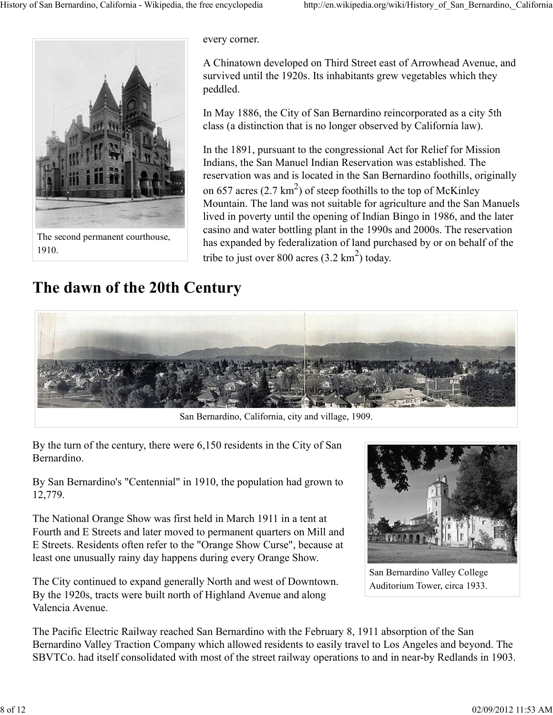

every corner.

A Chinatown developed on Third Street east of Arrowhead Avenue, and survived until the 1920s. Its inhabitants grew vegetables which they peddled.

In May 1886, the City of San Bernardino reincorporated as a city 5th class (a distinction that is no longer observed by California law).

In the 1891, pursuant to the congressional Act for Relief for Mission Indians, the San Manuel Indian Reservation was established. The reservation was and is located in the San Bernardino foothills, originally on 657 acres  $(2.7 \text{ km}^2)$  of steep foothills to the top of McKinley Mountain. The land was not suitable for agriculture and the San Manuels lived in poverty until the opening of Indian Bingo in 1986, and the later casino and water bottling plant in the 1990s and 2000s. The reservation has expanded by federalization of land purchased by or on behalf of the tribe to just over 800 acres  $(3.2 \text{ km}^2)$  today.

## **The dawn of the 20th Century**



San Bernardino, California, city and village, 1909.

By the turn of the century, there were 6,150 residents in the City of San Bernardino.

By San Bernardino's "Centennial" in 1910, the population had grown to 12,779.

The National Orange Show was first held in March 1911 in a tent at Fourth and E Streets and later moved to permanent quarters on Mill and E Streets. Residents often refer to the "Orange Show Curse", because at least one unusually rainy day happens during every Orange Show.

The City continued to expand generally North and west of Downtown. By the 1920s, tracts were built north of Highland Avenue and along Valencia Avenue.



San Bernardino Valley College Auditorium Tower, circa 1933.

The Pacific Electric Railway reached San Bernardino with the February 8, 1911 absorption of the San Bernardino Valley Traction Company which allowed residents to easily travel to Los Angeles and beyond. The SBVTCo. had itself consolidated with most of the street railway operations to and in near-by Redlands in 1903.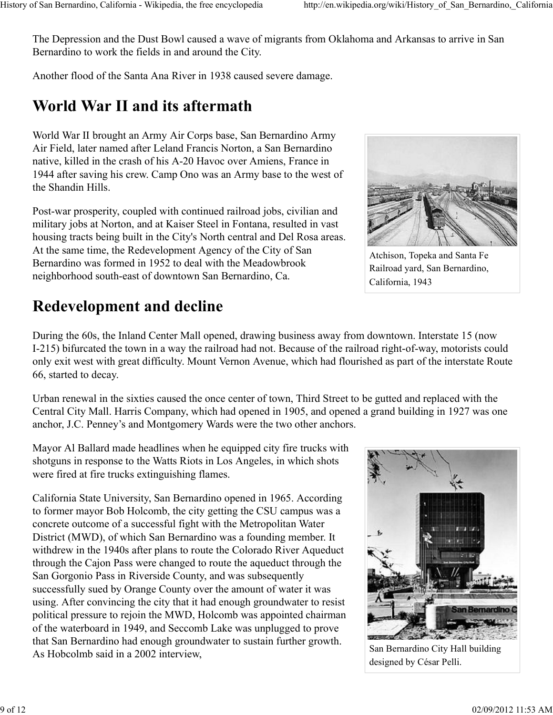The Depression and the Dust Bowl caused a wave of migrants from Oklahoma and Arkansas to arrive in San Bernardino to work the fields in and around the City.

Another flood of the Santa Ana River in 1938 caused severe damage.

# **World War II and its aftermath**

World War II brought an Army Air Corps base, San Bernardino Army Air Field, later named after Leland Francis Norton, a San Bernardino native, killed in the crash of his A-20 Havoc over Amiens, France in 1944 after saving his crew. Camp Ono was an Army base to the west of the Shandin Hills.

Post-war prosperity, coupled with continued railroad jobs, civilian and military jobs at Norton, and at Kaiser Steel in Fontana, resulted in vast housing tracts being built in the City's North central and Del Rosa areas. At the same time, the Redevelopment Agency of the City of San Bernardino was formed in 1952 to deal with the Meadowbrook neighborhood south-east of downtown San Bernardino, Ca.

# **Redevelopment and decline**

During the 60s, the Inland Center Mall opened, drawing business away from downtown. Interstate 15 (now I-215) bifurcated the town in a way the railroad had not. Because of the railroad right-of-way, motorists could only exit west with great difficulty. Mount Vernon Avenue, which had flourished as part of the interstate Route 66, started to decay.

Urban renewal in the sixties caused the once center of town, Third Street to be gutted and replaced with the Central City Mall. Harris Company, which had opened in 1905, and opened a grand building in 1927 was one anchor, J.C. Penney's and Montgomery Wards were the two other anchors.

Mayor Al Ballard made headlines when he equipped city fire trucks with shotguns in response to the Watts Riots in Los Angeles, in which shots were fired at fire trucks extinguishing flames.

California State University, San Bernardino opened in 1965. According to former mayor Bob Holcomb, the city getting the CSU campus was a concrete outcome of a successful fight with the Metropolitan Water District (MWD), of which San Bernardino was a founding member. It withdrew in the 1940s after plans to route the Colorado River Aqueduct through the Cajon Pass were changed to route the aqueduct through the San Gorgonio Pass in Riverside County, and was subsequently successfully sued by Orange County over the amount of water it was using. After convincing the city that it had enough groundwater to resist political pressure to rejoin the MWD, Holcomb was appointed chairman of the waterboard in 1949, and Seccomb Lake was unplugged to prove that San Bernardino had enough groundwater to sustain further growth. As Hobcolmb said in a 2002 interview,





Atchison, Topeka and Santa Fe Railroad yard, San Bernardino, California, 1943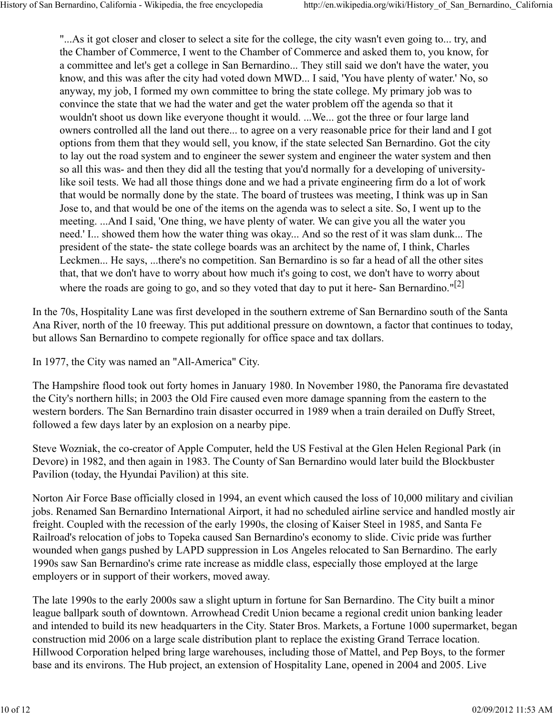"...As it got closer and closer to select a site for the college, the city wasn't even going to... try, and the Chamber of Commerce, I went to the Chamber of Commerce and asked them to, you know, for a committee and let's get a college in San Bernardino... They still said we don't have the water, you know, and this was after the city had voted down MWD... I said, 'You have plenty of water.' No, so anyway, my job, I formed my own committee to bring the state college. My primary job was to convince the state that we had the water and get the water problem off the agenda so that it wouldn't shoot us down like everyone thought it would. ...We... got the three or four large land owners controlled all the land out there... to agree on a very reasonable price for their land and I got options from them that they would sell, you know, if the state selected San Bernardino. Got the city to lay out the road system and to engineer the sewer system and engineer the water system and then so all this was- and then they did all the testing that you'd normally for a developing of universitylike soil tests. We had all those things done and we had a private engineering firm do a lot of work that would be normally done by the state. The board of trustees was meeting, I think was up in San Jose to, and that would be one of the items on the agenda was to select a site. So, I went up to the meeting. ...And I said, 'One thing, we have plenty of water. We can give you all the water you need.' I... showed them how the water thing was okay... And so the rest of it was slam dunk... The president of the state- the state college boards was an architect by the name of, I think, Charles Leckmen... He says, ...there's no competition. San Bernardino is so far a head of all the other sites that, that we don't have to worry about how much it's going to cost, we don't have to worry about where the roads are going to go, and so they voted that day to put it here- San Bernardino."<sup>[2]</sup>

In the 70s, Hospitality Lane was first developed in the southern extreme of San Bernardino south of the Santa Ana River, north of the 10 freeway. This put additional pressure on downtown, a factor that continues to today, but allows San Bernardino to compete regionally for office space and tax dollars.

In 1977, the City was named an "All-America" City.

The Hampshire flood took out forty homes in January 1980. In November 1980, the Panorama fire devastated the City's northern hills; in 2003 the Old Fire caused even more damage spanning from the eastern to the western borders. The San Bernardino train disaster occurred in 1989 when a train derailed on Duffy Street, followed a few days later by an explosion on a nearby pipe.

Steve Wozniak, the co-creator of Apple Computer, held the US Festival at the Glen Helen Regional Park (in Devore) in 1982, and then again in 1983. The County of San Bernardino would later build the Blockbuster Pavilion (today, the Hyundai Pavilion) at this site.

Norton Air Force Base officially closed in 1994, an event which caused the loss of 10,000 military and civilian jobs. Renamed San Bernardino International Airport, it had no scheduled airline service and handled mostly air freight. Coupled with the recession of the early 1990s, the closing of Kaiser Steel in 1985, and Santa Fe Railroad's relocation of jobs to Topeka caused San Bernardino's economy to slide. Civic pride was further wounded when gangs pushed by LAPD suppression in Los Angeles relocated to San Bernardino. The early 1990s saw San Bernardino's crime rate increase as middle class, especially those employed at the large employers or in support of their workers, moved away.

The late 1990s to the early 2000s saw a slight upturn in fortune for San Bernardino. The City built a minor league ballpark south of downtown. Arrowhead Credit Union became a regional credit union banking leader and intended to build its new headquarters in the City. Stater Bros. Markets, a Fortune 1000 supermarket, began construction mid 2006 on a large scale distribution plant to replace the existing Grand Terrace location. Hillwood Corporation helped bring large warehouses, including those of Mattel, and Pep Boys, to the former base and its environs. The Hub project, an extension of Hospitality Lane, opened in 2004 and 2005. Live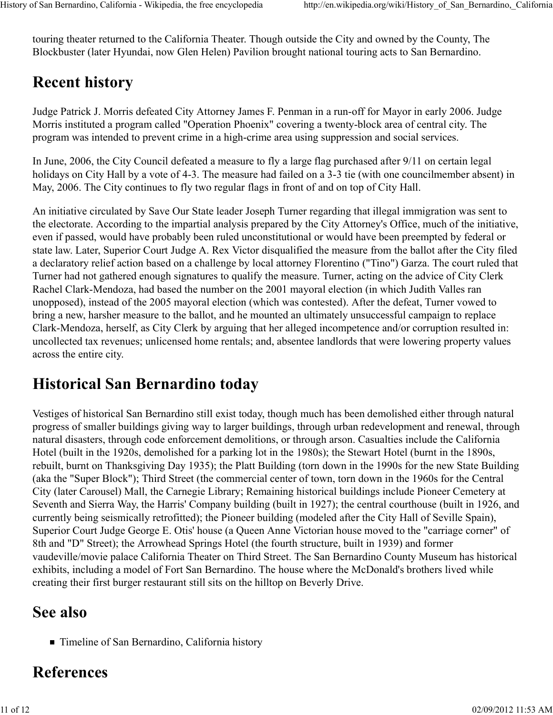touring theater returned to the California Theater. Though outside the City and owned by the County, The Blockbuster (later Hyundai, now Glen Helen) Pavilion brought national touring acts to San Bernardino.

# **Recent history**

Judge Patrick J. Morris defeated City Attorney James F. Penman in a run-off for Mayor in early 2006. Judge Morris instituted a program called "Operation Phoenix" covering a twenty-block area of central city. The program was intended to prevent crime in a high-crime area using suppression and social services.

In June, 2006, the City Council defeated a measure to fly a large flag purchased after 9/11 on certain legal holidays on City Hall by a vote of 4-3. The measure had failed on a 3-3 tie (with one councilmember absent) in May, 2006. The City continues to fly two regular flags in front of and on top of City Hall.

An initiative circulated by Save Our State leader Joseph Turner regarding that illegal immigration was sent to the electorate. According to the impartial analysis prepared by the City Attorney's Office, much of the initiative, even if passed, would have probably been ruled unconstitutional or would have been preempted by federal or state law. Later, Superior Court Judge A. Rex Victor disqualified the measure from the ballot after the City filed a declaratory relief action based on a challenge by local attorney Florentino ("Tino") Garza. The court ruled that Turner had not gathered enough signatures to qualify the measure. Turner, acting on the advice of City Clerk Rachel Clark-Mendoza, had based the number on the 2001 mayoral election (in which Judith Valles ran unopposed), instead of the 2005 mayoral election (which was contested). After the defeat, Turner vowed to bring a new, harsher measure to the ballot, and he mounted an ultimately unsuccessful campaign to replace Clark-Mendoza, herself, as City Clerk by arguing that her alleged incompetence and/or corruption resulted in: uncollected tax revenues; unlicensed home rentals; and, absentee landlords that were lowering property values across the entire city.

# **Historical San Bernardino today**

Vestiges of historical San Bernardino still exist today, though much has been demolished either through natural progress of smaller buildings giving way to larger buildings, through urban redevelopment and renewal, through natural disasters, through code enforcement demolitions, or through arson. Casualties include the California Hotel (built in the 1920s, demolished for a parking lot in the 1980s); the Stewart Hotel (burnt in the 1890s, rebuilt, burnt on Thanksgiving Day 1935); the Platt Building (torn down in the 1990s for the new State Building (aka the "Super Block"); Third Street (the commercial center of town, torn down in the 1960s for the Central City (later Carousel) Mall, the Carnegie Library; Remaining historical buildings include Pioneer Cemetery at Seventh and Sierra Way, the Harris' Company building (built in 1927); the central courthouse (built in 1926, and currently being seismically retrofitted); the Pioneer building (modeled after the City Hall of Seville Spain), Superior Court Judge George E. Otis' house (a Queen Anne Victorian house moved to the "carriage corner" of 8th and "D" Street); the Arrowhead Springs Hotel (the fourth structure, built in 1939) and former vaudeville/movie palace California Theater on Third Street. The San Bernardino County Museum has historical exhibits, including a model of Fort San Bernardino. The house where the McDonald's brothers lived while creating their first burger restaurant still sits on the hilltop on Beverly Drive.

#### **See also**

■ Timeline of San Bernardino, California history

## **References**